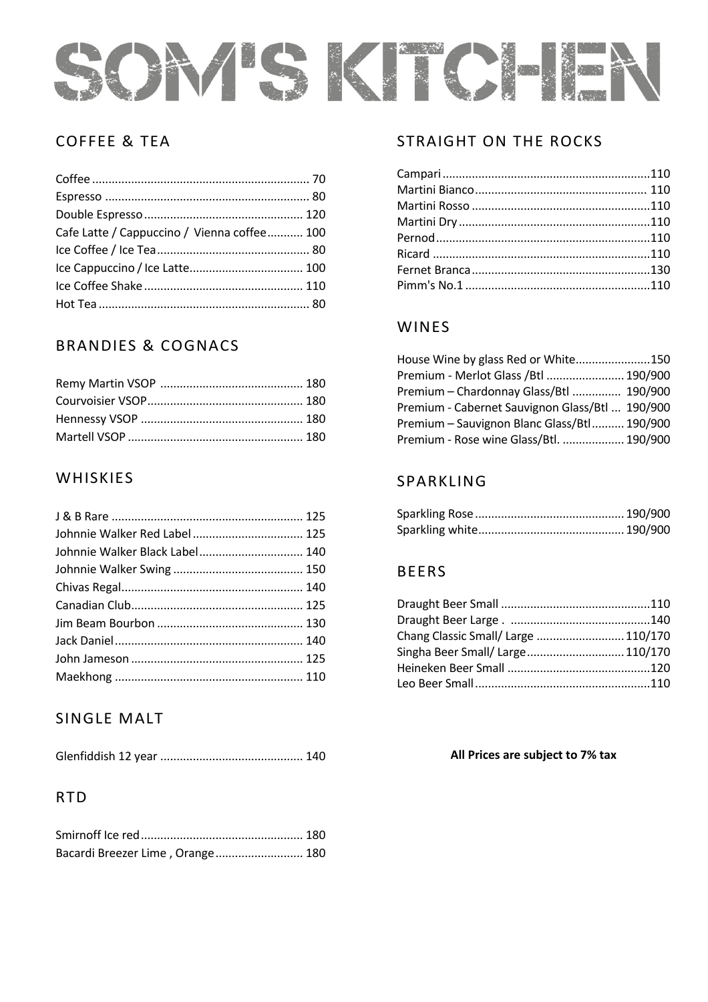

### COFFEE & TEA

| Cafe Latte / Cappuccino / Vienna coffee 100 |  |
|---------------------------------------------|--|
|                                             |  |
|                                             |  |
|                                             |  |
|                                             |  |

# BRANDIES & COGNACS

### **WHISKIES**

| Johnnie Walker Black Label 140 |  |
|--------------------------------|--|
|                                |  |
|                                |  |
|                                |  |
|                                |  |
|                                |  |
|                                |  |
|                                |  |

# SINGLE MALT

|--|--|--|

# RTD

| Bacardi Breezer Lime, Orange 180 |  |
|----------------------------------|--|

### STRAIGHT ON THE ROCKS

### WINES

| House Wine by glass Red or White150             |  |
|-------------------------------------------------|--|
| Premium - Merlot Glass / Btl  190/900           |  |
| Premium - Chardonnay Glass/Btl  190/900         |  |
| Premium - Cabernet Sauvignon Glass/Btl  190/900 |  |
| Premium - Sauvignon Blanc Glass/Btl 190/900     |  |
| Premium - Rose wine Glass/Btl.  190/900         |  |

### SPARKLING

### BEERS

| Chang Classic Small/ Large  110/170 |  |
|-------------------------------------|--|
| Singha Beer Small/ Large 110/170    |  |
|                                     |  |
|                                     |  |

#### **All Prices are subject to 7% tax**